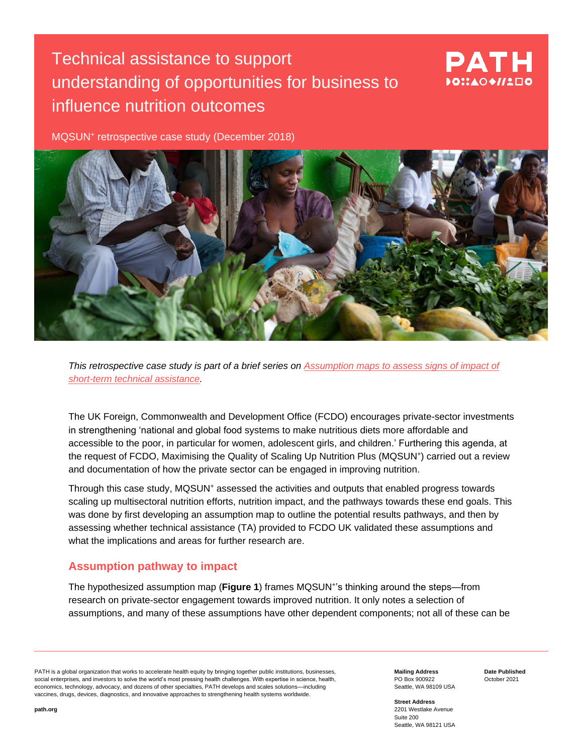# Technical assistance to support understanding of opportunities for business to influence nutrition outcomes

# PATH DOMADO II

MQSUN<sup>+</sup> retrospective case study (December 2018)



*This retrospective case study is part of a brief series on [Assumption maps to assess signs of](https://mqsunplus.path.org/resources/assumption-maps-to-assess-signs-of-impact-of-short-term-technical-assistance/) impact of [short-term technical assistance.](https://mqsunplus.path.org/resources/assumption-maps-to-assess-signs-of-impact-of-short-term-technical-assistance/)*

The UK Foreign, Commonwealth and Development Office (FCDO) encourages private-sector investments in strengthening 'national and global food systems to make nutritious diets more affordable and accessible to the poor, in particular for women, adolescent girls, and children.' Furthering this agenda, at the request of FCDO, Maximising the Quality of Scaling Up Nutrition Plus (MQSUN+) carried out a review and documentation of how the private sector can be engaged in improving nutrition.

Through this case study, MQSUN<sup>+</sup> assessed the activities and outputs that enabled progress towards scaling up multisectoral nutrition efforts, nutrition impact, and the pathways towards these end goals. This was done by first developing an assumption map to outline the potential results pathways, and then by assessing whether technical assistance (TA) provided to FCDO UK validated these assumptions and what the implications and areas for further research are.

## **Assumption pathway to impact**

The hypothesized assumption map (**Figure 1**) frames MQSUN<sup>+</sup> 's thinking around the steps—from research on private-sector engagement towards improved nutrition. It only notes a selection of assumptions, and many of these assumptions have other dependent components; not all of these can be

PATH is a global organization that works to accelerate health equity by bringing together public institutions, businesses, social enterprises, and investors to solve the world's most pressing health challenges. With expertise in science, health, economics, technology, advocacy, and dozens of other specialties, PATH develops and scales solutions—including vaccines, drugs, devices, diagnostics, and innovative approaches to strengthening health systems worldwide.

**Mailing Address** PO Box 900922 Seattle, WA 98109 USA **Date Published** October 2021

**Street Address** 2201 Westlake Avenue Suite 200 Seattle, WA 98121 USA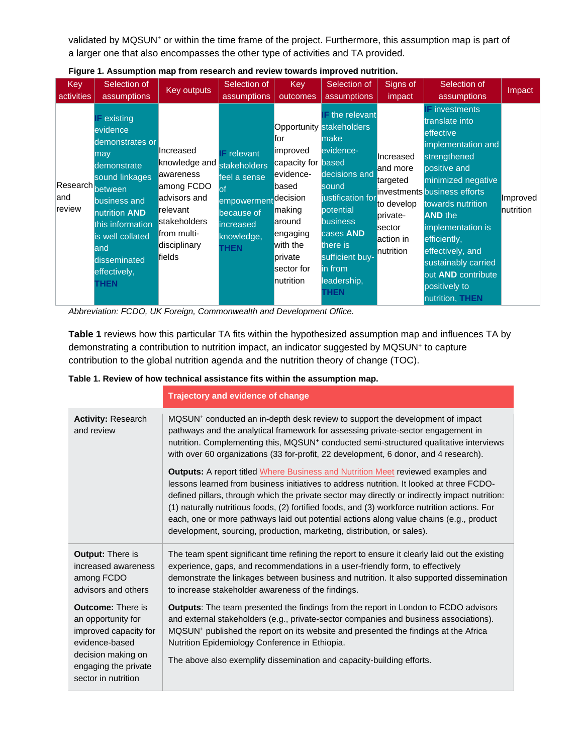validated by MQSUN<sup>+</sup> or within the time frame of the project. Furthermore, this assumption map is part of a larger one that also encompasses the other type of activities and TA provided.

| Key<br>activities                  | Selection of<br>assumptions                                                                                                                                                                                                | Key outputs                                                                                                                                | Selection of<br>assumptions                                                                                                                | <b>Key</b><br>outcomes                                                                                                                        | Selection of<br>assumptions                                                                                                                                                                                                                               | Signs of<br>impact                                                                              | Selection of<br>assumptions                                                                                                                                                                                                                                                                                                                                          | Impact                |
|------------------------------------|----------------------------------------------------------------------------------------------------------------------------------------------------------------------------------------------------------------------------|--------------------------------------------------------------------------------------------------------------------------------------------|--------------------------------------------------------------------------------------------------------------------------------------------|-----------------------------------------------------------------------------------------------------------------------------------------------|-----------------------------------------------------------------------------------------------------------------------------------------------------------------------------------------------------------------------------------------------------------|-------------------------------------------------------------------------------------------------|----------------------------------------------------------------------------------------------------------------------------------------------------------------------------------------------------------------------------------------------------------------------------------------------------------------------------------------------------------------------|-----------------------|
| Research between<br>land<br>review | $F$ existing<br>evidence<br>demonstrates or<br>may<br>demonstrate<br>sound linkages<br>business and<br>nutrition <b>AND</b><br>this information<br>is well collated<br>land<br>disseminated<br>effectively,<br><b>THEN</b> | Increased<br>knowledge and<br>awareness<br>among FCDO<br>advisors and<br>relevant<br>stakeholders<br>from multi-<br>disciplinary<br>fields | $F$ relevant<br><b>stakeholders</b><br>feel a sense<br>lof<br>empowerment decision<br>because of<br>increased<br>knowledge,<br><b>THEN</b> | for<br>improved<br>capacity for based<br>evidence-<br>based<br>making<br>around<br>engaging<br>with the<br>private<br>sector for<br>nutrition | $\overline{ }$ the relevant<br><b>Opportunity stakeholders</b><br>lmake<br>evidence-<br>decisions and<br>sound<br>justification for<br>potential<br><b>business</b><br>cases AND<br>there is<br>sufficient buy-<br>lin from<br>leadership,<br><b>THEN</b> | Increased<br>and more<br>targeted<br>to develop<br>private-<br>sector<br>action in<br>nutrition | $\blacksquare$ investments<br>translate into<br>effective<br>implementation and<br>strengthened<br>positive and<br>minimized negative<br>investments business efforts<br>towards nutrition<br><b>AND</b> the<br>implementation is<br>efficiently,<br>effectively, and<br>sustainably carried<br>out <b>AND</b> contribute<br>positively to<br>nutrition, <b>THEN</b> | Improved<br>nutrition |

**Figure 1. Assumption map from research and review towards improved nutrition.**

*Abbreviation: FCDO, UK Foreign, Commonwealth and Development Office.*

**Table 1** reviews how this particular TA fits within the hypothesized assumption map and influences TA by demonstrating a contribution to nutrition impact, an indicator suggested by MQSUN<sup>+</sup> to capture contribution to the global nutrition agenda and the nutrition theory of change (TOC).

### **Table 1. Review of how technical assistance fits within the assumption map.**

|                                                                                                                                                                | Trajectory and evidence of change                                                                                                                                                                                                                                                                                                                                                                                                                                                                                                                           |  |  |  |
|----------------------------------------------------------------------------------------------------------------------------------------------------------------|-------------------------------------------------------------------------------------------------------------------------------------------------------------------------------------------------------------------------------------------------------------------------------------------------------------------------------------------------------------------------------------------------------------------------------------------------------------------------------------------------------------------------------------------------------------|--|--|--|
| <b>Activity: Research</b><br>and review                                                                                                                        | MQSUN <sup>+</sup> conducted an in-depth desk review to support the development of impact<br>pathways and the analytical framework for assessing private-sector engagement in<br>nutrition. Complementing this, MQSUN <sup>+</sup> conducted semi-structured qualitative interviews<br>with over 60 organizations (33 for-profit, 22 development, 6 donor, and 4 research).                                                                                                                                                                                 |  |  |  |
|                                                                                                                                                                | <b>Outputs:</b> A report titled Where Business and Nutrition Meet reviewed examples and<br>lessons learned from business initiatives to address nutrition. It looked at three FCDO-<br>defined pillars, through which the private sector may directly or indirectly impact nutrition:<br>(1) naturally nutritious foods, (2) fortified foods, and (3) workforce nutrition actions. For<br>each, one or more pathways laid out potential actions along value chains (e.g., product<br>development, sourcing, production, marketing, distribution, or sales). |  |  |  |
| <b>Output:</b> There is<br>increased awareness<br>among FCDO<br>advisors and others                                                                            | The team spent significant time refining the report to ensure it clearly laid out the existing<br>experience, gaps, and recommendations in a user-friendly form, to effectively<br>demonstrate the linkages between business and nutrition. It also supported dissemination<br>to increase stakeholder awareness of the findings.                                                                                                                                                                                                                           |  |  |  |
| <b>Outcome: There is</b><br>an opportunity for<br>improved capacity for<br>evidence-based<br>decision making on<br>engaging the private<br>sector in nutrition | <b>Outputs:</b> The team presented the findings from the report in London to FCDO advisors<br>and external stakeholders (e.g., private-sector companies and business associations).<br>MQSUN <sup>+</sup> published the report on its website and presented the findings at the Africa<br>Nutrition Epidemiology Conference in Ethiopia.<br>The above also exemplify dissemination and capacity-building efforts.                                                                                                                                           |  |  |  |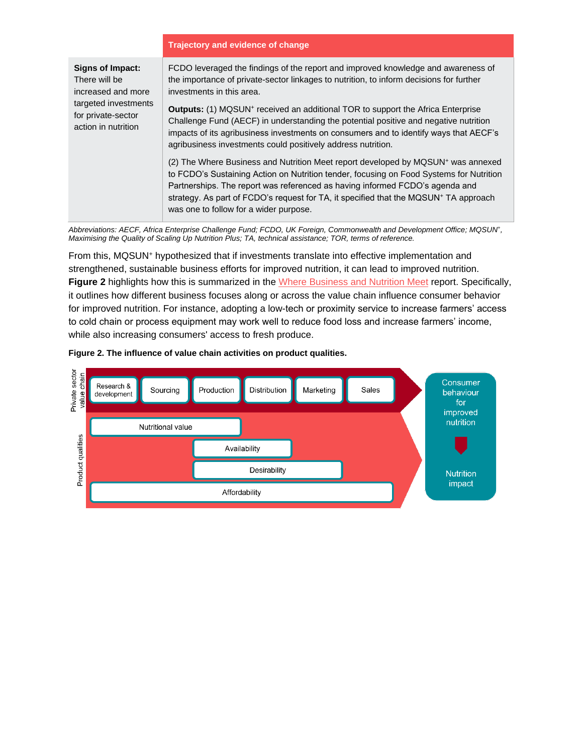#### **Trajectory and evidence of change**

| Signs of Impact:<br>There will be<br>increased and more           | FCDO leveraged the findings of the report and improved knowledge and awareness of<br>the importance of private-sector linkages to nutrition, to inform decisions for further<br>investments in this area.                                                                                                                                                                                                             |
|-------------------------------------------------------------------|-----------------------------------------------------------------------------------------------------------------------------------------------------------------------------------------------------------------------------------------------------------------------------------------------------------------------------------------------------------------------------------------------------------------------|
| targeted investments<br>for private-sector<br>action in nutrition | <b>Outputs:</b> (1) MQSUN <sup>+</sup> received an additional TOR to support the Africa Enterprise<br>Challenge Fund (AECF) in understanding the potential positive and negative nutrition<br>impacts of its agribusiness investments on consumers and to identify ways that AECF's<br>agribusiness investments could positively address nutrition.                                                                   |
|                                                                   | (2) The Where Business and Nutrition Meet report developed by MQSUN <sup>+</sup> was annexed<br>to FCDO's Sustaining Action on Nutrition tender, focusing on Food Systems for Nutrition<br>Partnerships. The report was referenced as having informed FCDO's agenda and<br>strategy. As part of FCDO's request for TA, it specified that the MQSUN <sup>+</sup> TA approach<br>was one to follow for a wider purpose. |

*Abbreviations: AECF, Africa Enterprise Challenge Fund; FCDO, UK Foreign, Commonwealth and Development Office; MQSUN<sup>+</sup> , Maximising the Quality of Scaling Up Nutrition Plus; TA, technical assistance; TOR, terms of reference.*

From this, MQSUN<sup>+</sup> hypothesized that if investments translate into effective implementation and strengthened, sustainable business efforts for improved nutrition, it can lead to improved nutrition. **Figure 2** highlights how this is summarized in the [Where Business and Nutrition Meet](https://mqsunplus.path.org/resources/where-business-and-nutrition-meet-review-of-approaches-and-evidence-on-private-sector-engagement-in-nutrition/) report. Specifically, it outlines how different business focuses along or across the value chain influence consumer behavior for improved nutrition. For instance, adopting a low-tech or proximity service to increase farmers' access to cold chain or process equipment may work well to reduce food loss and increase farmers' income, while also increasing consumers' access to fresh produce.